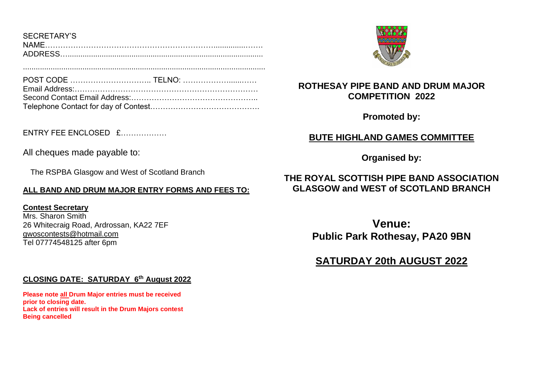| SECRETARY'S    |  |
|----------------|--|
| <b>NAMF</b>    |  |
| <b>ADDRESS</b> |  |

..................................................................................................................

POST CODE ………………………….. TELNO: ………………......…… Email Address:……………………………………………………………… Second Contact Email Address:………………………………………….. Telephone Contact for day of Contest…………………………………….

 $F$ NTRY FFF FNCLOSED  $f$ 

All cheques made payable to:

The RSPBA Glasgow and West of Scotland Branch

# **ALL BAND AND DRUM MAJOR ENTRY FORMS AND FEES TO:**

**Contest Secretary**

Mrs. Sharon Smith 26 Whitecraig Road, Ardrossan, KA22 7EF [gwoscontests@hotmail.com](mailto:gwoscontests@hotmail.com)  Tel 07774548125 after 6pm

# **CLOSING DATE: SATURDAY 6 th August 2022**

**Please note all Drum Major entries must be received prior to closing date. Lack of entries will result in the Drum Majors contest Being cancelled**



# **ROTHESAY PIPE BAND AND DRUM MAJOR COMPETITION 2022**

**Promoted by:**

# **BUTE HIGHLAND GAMES COMMITTEE**

**Organised by:**

# **THE ROYAL SCOTTISH PIPE BAND ASSOCIATION GLASGOW and WEST of SCOTLAND BRANCH**

**Venue: Public Park Rothesay, PA20 9BN**

# **SATURDAY 20th AUGUST 2022**